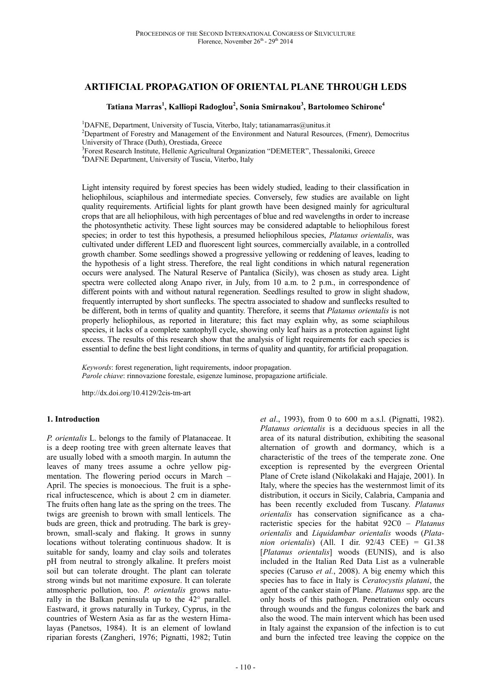# **ARTIFICIAL PROPAGATION OF ORIENTAL PLANE THROUGH LEDS**

## **Tatiana Marras<sup>1</sup> , Kalliopi Radoglou<sup>2</sup> , Sonia Smirnakou<sup>3</sup> , Bartolomeo Schirone<sup>4</sup>**

<sup>1</sup>DAFNE, Department, University of Tuscia, Viterbo, Italy; tatianamarras@unitus.it

<sup>2</sup>Department of Forestry and Management of the Environment and Natural Resources, (Fmenr), Democritus University of Thrace (Duth), Orestiada, Greece

<sup>3</sup>Forest Research Institute, Hellenic Agricultural Organization "DEMETER", Thessaloniki, Greece

<sup>4</sup>DAFNE Department, University of Tuscia, Viterbo, Italy

Light intensity required by forest species has been widely studied, leading to their classification in heliophilous, sciaphilous and intermediate species. Conversely, few studies are available on light quality requirements. Artificial lights for plant growth have been designed mainly for agricultural crops that are all heliophilous, with high percentages of blue and red wavelengths in order to increase the photosynthetic activity. These light sources may be considered adaptable to heliophilous forest species; in order to test this hypothesis, a presumed heliophilous species, *Platanus orientalis*, was cultivated under different LED and fluorescent light sources, commercially available, in a controlled growth chamber. Some seedlings showed a progressive yellowing or reddening of leaves, leading to the hypothesis of a light stress. Therefore, the real light conditions in which natural regeneration occurs were analysed. The Natural Reserve of Pantalica (Sicily), was chosen as study area. Light spectra were collected along Anapo river, in July, from 10 a.m. to 2 p.m., in correspondence of different points with and without natural regeneration. Seedlings resulted to grow in slight shadow, frequently interrupted by short sunflecks. The spectra associated to shadow and sunflecks resulted to be different, both in terms of quality and quantity. Therefore, it seems that *Platanus orientalis* is not properly heliophilous, as reported in literature; this fact may explain why, as some sciaphilous species, it lacks of a complete xantophyll cycle, showing only leaf hairs as a protection against light excess. The results of this research show that the analysis of light requirements for each species is essential to define the best light conditions, in terms of quality and quantity, for artificial propagation.

*Keywords*: forest regeneration, light requirements, indoor propagation. *Parole chiave*: rinnovazione forestale, esigenze luminose, propagazione artificiale.

http://dx.doi.org/10.4129/2cis-tm-art

### **1. Introduction**

*P. orientalis* L. belongs to the family of Platanaceae. It is a deep rooting tree with green alternate leaves that are usually lobed with a smooth margin. In autumn the leaves of many trees assume a ochre yellow pigmentation. The flowering period occurs in March – April. The species is monoecious. The fruit is a spherical infructescence, which is about 2 cm in diameter. The fruits often hang late as the spring on the trees. The twigs are greenish to brown with small lenticels. The buds are green, thick and protruding. The bark is greybrown, small-scaly and flaking. It grows in sunny locations without tolerating continuous shadow. It is suitable for sandy, loamy and clay soils and tolerates pH from neutral to strongly alkaline. It prefers moist soil but can tolerate drought. The plant can tolerate strong winds but not maritime exposure. It can tolerate atmospheric pollution, too. *P. orientalis* grows naturally in the Balkan peninsula up to the 42° parallel. Eastward, it grows naturally in Turkey, Cyprus, in the countries of Western Asia as far as the western Himalayas (Panetsos, 1984). It is an element of lowland riparian forests (Zangheri, 1976; Pignatti, 1982; Tutin

*et al*., 1993), from 0 to 600 m a.s.l. (Pignatti, 1982). *Platanus orientalis* is a deciduous species in all the area of its natural distribution, exhibiting the seasonal alternation of growth and dormancy, which is a characteristic of the trees of the temperate zone. One exception is represented by the evergreen Oriental Plane of Crete island (Nikolakaki and Hajaje, 2001). In Italy, where the species has the westernmost limit of its distribution, it occurs in Sicily, Calabria, Campania and has been recently excluded from Tuscany. *Platanus orientalis* has conservation significance as a characteristic species for the habitat 92C0 – *Platanus orientalis* and *Liquidambar orientalis* woods (*Platanion orientalis*) (All. I dir. 92/43 CEE) = G1.38 [*Platanus orientalis*] woods (EUNIS), and is also included in the Italian Red Data List as a vulnerable species (Caruso *et al.*, 2008). A big enemy which this species has to face in Italy is *Ceratocystis platani*, the agent of the canker stain of Plane. *Platanus* spp. are the only hosts of this pathogen. Penetration only occurs through wounds and the fungus colonizes the bark and also the wood. The main intervent which has been used in Italy against the expansion of the infection is to cut and burn the infected tree leaving the coppice on the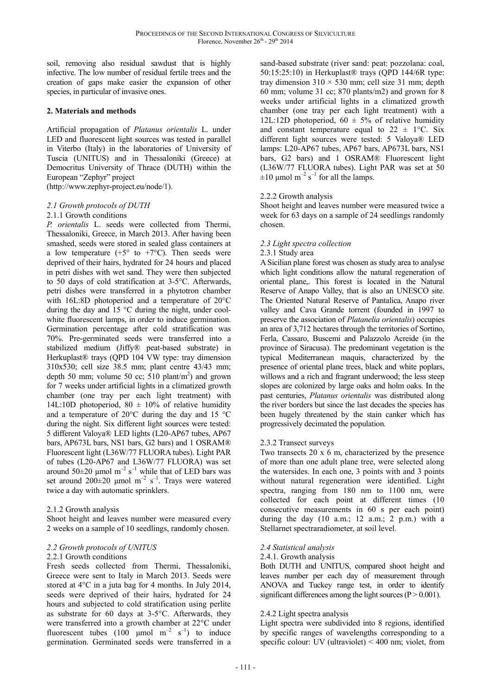soil, removing also residual sawdust that is highly infective. The low number of residual fertile trees and the creation of gaps make easier the expansion of other species, in particular of invasive ones.

## **2. Materials and methods**

Artificial propagation of *Platanus orientalis* L. under LED and fluorescent light sources was tested in parallel in Viterbo (Italy) in the laboratories of University of Tuscia (UNITUS) and in Thessaloniki (Greece) at Democritus University of Thrace (DUTH) within the European "Zephyr" project (http://www.zephyr-project.eu/node/1).

## *2.1 Growth protocols of DUTH*

2.1.1 Growth conditions

*P. orientalis* L. seeds were collected from Thermi, Thessaloniki, Greece, in March 2013. After having been smashed, seeds were stored in sealed glass containers at a low temperature (+5 $\degree$  to +7 $\degree$ C). Then seeds were deprived of their hairs, hydrated for 24 hours and placed in petri dishes with wet sand. They were then subjected to 50 days of cold stratification at 3-5°C. Afterwards, petri dishes were transferred in a phytotron chamber with 16L:8D photoperiod and a temperature of 20°C during the day and 15 °C during the night, under coolwhite fluorescent lamps, in order to induce germination. Germination percentage after cold stratification was 70%. Pre-germinated seeds were transferred into a stabilized medium (Jiffy® peat-based substrate) in Herkuplast® trays (QPD 104 VW type: tray dimension 310x530; cell size 38.5 mm; plant centre 43/43 mm; depth 50 mm; volume 50 cc;  $\overline{510}$  plant/m<sup>2</sup>) and grown for 7 weeks under artificial lights in a climatized growth chamber (one tray per each light treatment) with 14L:10D photoperiod,  $80 \pm 10\%$  of relative humidity and a temperature of 20°C during the day and 15 °C during the night. Six different light sources were tested: 5 different Valoya® LED lights (L20-AP67 tubes, AP67 bars, AP673L bars, NS1 bars, G2 bars) and 1 OSRAM® Fluorescent light (L36W/77 FLUORA tubes). Light PAR of tubes (L20-AP67 and L36W/77 FLUORA) was set around  $50\pm20$  µmol m<sup>-2</sup> s<sup>-1</sup> while that of LED bars was set around  $200\pm20$  µmol m<sup>-2</sup> s<sup>-1</sup>. Trays were watered twice a day with automatic sprinklers.

### 2.1.2 Growth analysis

Shoot height and leaves number were measured every 2 weeks on a sample of 10 seedlings, randomly chosen.

### *2.2 Growth protocols of UNITUS*

### 2.2.1 Growth conditions

Fresh seeds collected from Thermi, Thessaloniki, Greece were sent to Italy in March 2013. Seeds were stored at 4°C in a juta bag for 4 months. In July 2014, seeds were deprived of their hairs, hydrated for 24 hours and subjected to cold stratification using perlite as substrate for 60 days at 3-5°C. Afterwards, they were transferred into a growth chamber at 22°C under fluorescent tubes (100  $\mu$ mol m<sup>-2</sup> s<sup>-1</sup>) to induce germination. Germinated seeds were transferred in a sand-based substrate (river sand: peat: pozzolana: coal, 50:15:25:10) in Herkuplast® trays (QPD 144/6R type: tray dimension  $310 \times 530$  mm; cell size 31 mm; depth 60 mm; volume 31 cc; 870 plants/m2) and grown for 8 weeks under artificial lights in a climatized growth chamber (one tray per each light treatment) with a 12L:12D photoperiod,  $60 \pm 5\%$  of relative humidity and constant temperature equal to  $22 \pm 1$ °C. Six different light sources were tested: 5 Valoya® LED lamps: L20-AP67 tubes, AP67 bars, AP673L bars, NS1 bars, G2 bars) and 1 OSRAM® Fluorescent light (L36W/77 FLUORA tubes). Light PAR was set at 50  $\pm 10$  µmol m<sup>-2</sup> s<sup>-1</sup> for all the lamps.

### 2.2.2 Growth analysis

Shoot height and leaves number were measured twice a week for 63 days on a sample of 24 seedlings randomly chosen.

## *2.3 Light spectra collection*

## 2.3.1 Study area

A Sicilian plane forest was chosen as study area to analyse which light conditions allow the natural regeneration of oriental plane,. This forest is located in the Natural Reserve of Anapo Valley, that is also an UNESCO site. The Oriented Natural Reserve of Pantalica, Anapo river valley and Cava Grande torrent (founded in 1997 to preserve the association of *Platanelia orientalis*) occupies an area of 3,712 hectares through the territories of Sortino, Ferla, Cassaro, Buscemi and Palazzolo Acreide (in the province of Siracusa). The predominant vegetation is the typical Mediterranean maquis, characterized by the presence of oriental plane trees, black and white poplars, willows and a rich and fragrant underwood; the less steep slopes are colonized by large oaks and holm oaks. In the past centuries, *Platanus orientalis* was distributed along the river borders but since the last decades the species has been hugely threatened by the stain canker which has progressively decimated the population.

### 2.3.2 Transect surveys

Two transects 20 x 6 m, characterized by the presence of more than one adult plane tree, were selected along the watersides. In each one, 3 points with and 3 points without natural regeneration were identified. Light spectra, ranging from 180 nm to 1100 nm, were collected for each point at different times (10 consecutive measurements in 60 s per each point) during the day (10 a.m.; 12 a.m.; 2 p.m.) with a Stellarnet spectraradiometer, at soil level.

## *2.4 Statistical analysis*

### 2.4.1. Growth analysis

Both DUTH and UNITUS, compared shoot height and leaves number per each day of measurement through ANOVA and Tuckey range test, in order to identify significant differences among the light sources  $(P > 0.001)$ .

### 2.4.2 Light spectra analysis

Light spectra were subdivided into 8 regions, identified by specific ranges of wavelengths corresponding to a specific colour: UV (ultraviolet) < 400 nm; violet, from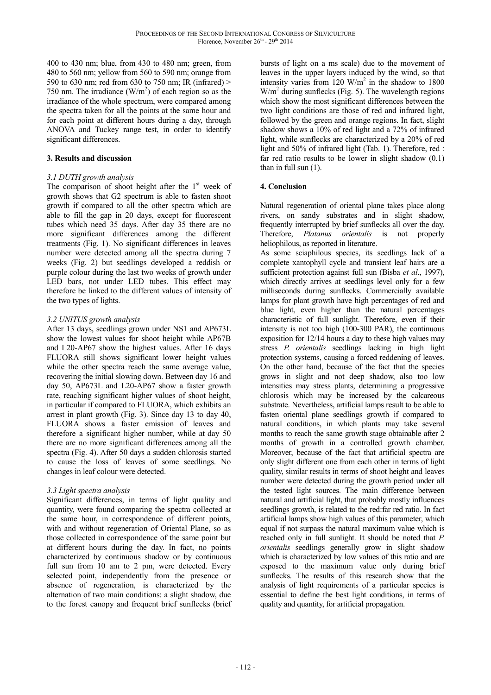400 to 430 nm; blue, from 430 to 480 nm; green, from 480 to 560 nm; yellow from 560 to 590 nm; orange from 590 to 630 nm; red from 630 to 750 nm; IR (infrared) > 750 nm. The irradiance  $(W/m<sup>2</sup>)$  of each region so as the irradiance of the whole spectrum, were compared among the spectra taken for all the points at the same hour and for each point at different hours during a day, through ANOVA and Tuckey range test, in order to identify significant differences.

## **3. Results and discussion**

## *3.1 DUTH growth analysis*

The comparison of shoot height after the  $1<sup>st</sup>$  week of growth shows that G2 spectrum is able to fasten shoot growth if compared to all the other spectra which are able to fill the gap in 20 days, except for fluorescent tubes which need 35 days. After day 35 there are no more significant differences among the different treatments (Fig. 1). No significant differences in leaves number were detected among all the spectra during 7 weeks (Fig. 2) but seedlings developed a reddish or purple colour during the last two weeks of growth under LED bars, not under LED tubes. This effect may therefore be linked to the different values of intensity of the two types of lights.

# *3.2 UNITUS growth analysis*

After 13 days, seedlings grown under NS1 and AP673L show the lowest values for shoot height while AP67B and L20-AP67 show the highest values. After 16 days FLUORA still shows significant lower height values while the other spectra reach the same average value, recovering the initial slowing down. Between day 16 and day 50, AP673L and L20-AP67 show a faster growth rate, reaching significant higher values of shoot height, in particular if compared to FLUORA, which exhibits an arrest in plant growth (Fig. 3). Since day 13 to day 40, FLUORA shows a faster emission of leaves and therefore a significant higher number, while at day 50 there are no more significant differences among all the spectra (Fig. 4). After 50 days a sudden chlorosis started to cause the loss of leaves of some seedlings. No changes in leaf colour were detected.

## *3.3 Light spectra analysis*

Significant differences, in terms of light quality and quantity, were found comparing the spectra collected at the same hour, in correspondence of different points, with and without regeneration of Oriental Plane, so as those collected in correspondence of the same point but at different hours during the day. In fact, no points characterized by continuous shadow or by continuous full sun from 10 am to 2 pm, were detected. Every selected point, independently from the presence or absence of regeneration, is characterized by the alternation of two main conditions: a slight shadow, due to the forest canopy and frequent brief sunflecks (brief bursts of light on a ms scale) due to the movement of leaves in the upper layers induced by the wind, so that intensity varies from  $120 \text{ W/m}^2$  in the shadow to  $1800$  $W/m<sup>2</sup>$  during sunflecks (Fig. 5). The wavelength regions which show the most significant differences between the two light conditions are those of red and infrared light, followed by the green and orange regions. In fact, slight shadow shows a 10% of red light and a 72% of infrared light, while sunflecks are characterized by a 20% of red light and 50% of infrared light (Tab. 1). Therefore, red : far red ratio results to be lower in slight shadow (0.1) than in full sun (1).

# **4. Conclusion**

Natural regeneration of oriental plane takes place along rivers, on sandy substrates and in slight shadow, frequently interrupted by brief sunflecks all over the day. Therefore, *Platanus orientalis* is not properly heliophilous, as reported in literature.

As some sciaphilous species, its seedlings lack of a complete xantophyll cycle and transient leaf hairs are a sufficient protection against full sun (Bisba *et al*., 1997), which directly arrives at seedlings level only for a few milliseconds during sunflecks. Commercially available lamps for plant growth have high percentages of red and blue light, even higher than the natural percentages characteristic of full sunlight. Therefore, even if their intensity is not too high (100-300 PAR), the continuous exposition for 12/14 hours a day to these high values may stress *P. orientalis* seedlings lacking in high light protection systems, causing a forced reddening of leaves. On the other hand, because of the fact that the species grows in slight and not deep shadow, also too low intensities may stress plants, determining a progressive chlorosis which may be increased by the calcareous substrate. Nevertheless, artificial lamps result to be able to fasten oriental plane seedlings growth if compared to natural conditions, in which plants may take several months to reach the same growth stage obtainable after 2 months of growth in a controlled growth chamber. Moreover, because of the fact that artificial spectra are only slight different one from each other in terms of light quality, similar results in terms of shoot height and leaves number were detected during the growth period under all the tested light sources. The main difference between natural and artificial light, that probably mostly influences seedlings growth, is related to the red:far red ratio. In fact artificial lamps show high values of this parameter, which equal if not surpass the natural maximum value which is reached only in full sunlight. It should be noted that *P. orientalis* seedlings generally grow in slight shadow which is characterized by low values of this ratio and are exposed to the maximum value only during brief sunflecks. The results of this research show that the analysis of light requirements of a particular species is essential to define the best light conditions, in terms of quality and quantity, for artificial propagation.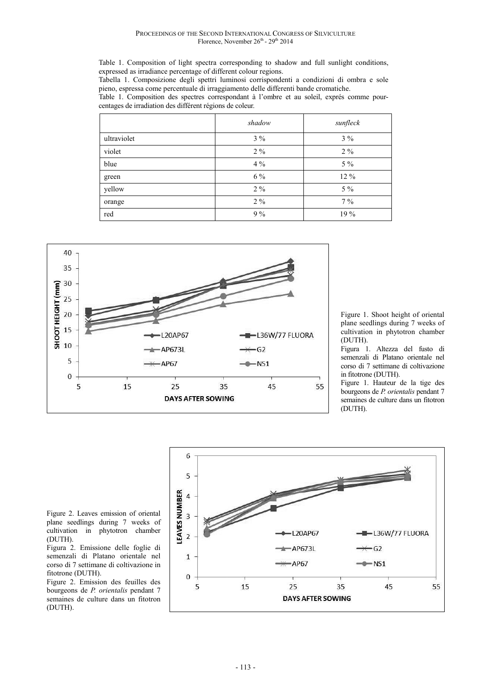Table 1. Composition of light spectra corresponding to shadow and full sunlight conditions, expressed as irradiance percentage of different colour regions.

Tabella 1. Composizione degli spettri luminosi corrispondenti a condizioni di ombra e sole pieno, espressa come percentuale di irraggiamento delle differenti bande cromatiche.

Table 1. Composition des spectres correspondant à l'ombre et au soleil, exprés comme pourcentages de irradiation des différent régions de coleur.

|             | shadow | sunfleck |
|-------------|--------|----------|
| ultraviolet | $3\%$  | $3\%$    |
| violet      | $2\%$  | $2\%$    |
| blue        | $4\%$  | $5\%$    |
| green       | 6 %    | 12 %     |
| yellow      | $2\%$  | $5\%$    |
| orange      | $2\%$  | $7\%$    |
| red         | $9\%$  | 19 %     |



Figure 1. Shoot height of oriental plane seedlings during 7 weeks of cultivation in phytotron chamber (DUTH).

Figura 1. Altezza del fusto di semenzali di Platano orientale nel corso di 7 settimane di coltivazione in fitotrone (DUTH).

Figure 1. Hauteur de la tige des bourgeons de *P. orientalis* pendant 7 semaines de culture dans un fitotron (DUTH).

Figure 2. Leaves emission of oriental plane seedlings during 7 weeks of cultivation in phytotron chamber (DUTH).

Figura 2. Emissione delle foglie di semenzali di Platano orientale nel corso di 7 settimane di coltivazione in fitotrone (DUTH).

Figure 2. Emission des feuilles des bourgeons de *P. orientalis* pendant 7 semaines de culture dans un fitotron (DUTH).

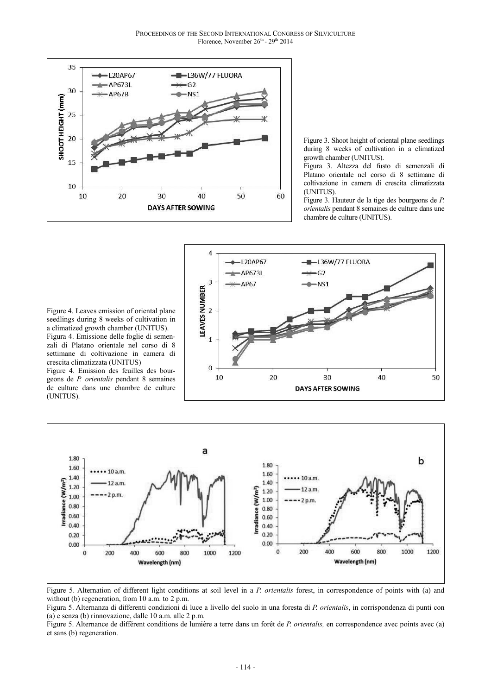

Figure 3. Shoot height of oriental plane seedlings during 8 weeks of cultivation in a climatized growth chamber (UNITUS).

Figura 3. Altezza del fusto di semenzali di Platano orientale nel corso di 8 settimane di coltivazione in camera di crescita climatizzata (UNITUS).

Figure 3. Hauteur de la tige des bourgeons de *P. orientalis* pendant 8 semaines de culture dans une chambre de culture (UNITUS).

Figure 4. Leaves emission of oriental plane seedlings during 8 weeks of cultivation in a climatized growth chamber (UNITUS). Figura 4. Emissione delle foglie di semenzali di Platano orientale nel corso di 8 settimane di coltivazione in camera di crescita climatizzata (UNITUS)

Figure 4. Emission des feuilles des bourgeons de *P. orientalis* pendant 8 semaines de culture dans une chambre de culture (UNITUS).





Figure 5. Alternation of different light conditions at soil level in a *P. orientalis* forest, in correspondence of points with (a) and without (b) regeneration, from 10 a.m. to 2 p.m.

Figura 5. Alternanza di differenti condizioni di luce a livello del suolo in una foresta di *P. orientalis*, in corrispondenza di punti con (a) e senza (b) rinnovazione, dalle 10 a.m. alle 2 p.m.

Figure 5. Alternance de différent conditions de lumière a terre dans un forêt de *P. orientalis,* en correspondence avec points avec (a) et sans (b) regeneration.